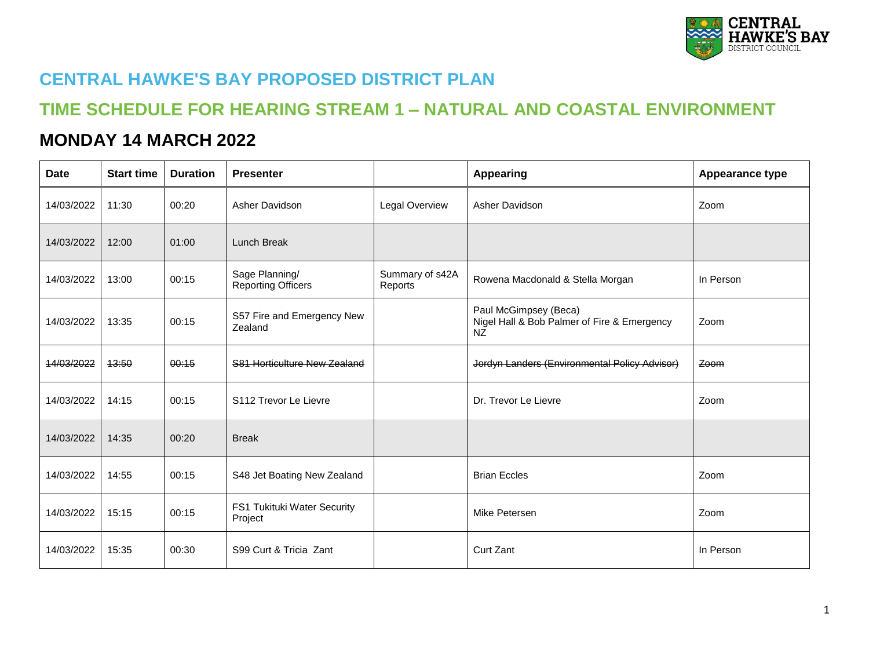

## **CENTRAL HAWKE'S BAY PROPOSED DISTRICT PLAN**

## **TIME SCHEDULE FOR HEARING STREAM 1 – NATURAL AND COASTAL ENVIRONMENT**

## **MONDAY 14 MARCH 2022**

| <b>Date</b> | <b>Start time</b> | <b>Duration</b> | <b>Presenter</b>                            |                            | <b>Appearing</b>                                                                  | <b>Appearance type</b> |
|-------------|-------------------|-----------------|---------------------------------------------|----------------------------|-----------------------------------------------------------------------------------|------------------------|
| 14/03/2022  | 11:30             | 00:20           | Asher Davidson                              | Legal Overview             | Asher Davidson                                                                    | Zoom                   |
| 14/03/2022  | 12:00             | 01:00           | Lunch Break                                 |                            |                                                                                   |                        |
| 14/03/2022  | 13:00             | 00:15           | Sage Planning/<br><b>Reporting Officers</b> | Summary of s42A<br>Reports | Rowena Macdonald & Stella Morgan                                                  | In Person              |
| 14/03/2022  | 13:35             | 00:15           | S57 Fire and Emergency New<br>Zealand       |                            | Paul McGimpsey (Beca)<br>Nigel Hall & Bob Palmer of Fire & Emergency<br><b>NZ</b> | Zoom                   |
| 14/03/2022  | 43:50             | 00:15           | S81 Horticulture New Zealand                |                            | Jordyn Landers (Environmental Policy Advisor)                                     | Zoom                   |
| 14/03/2022  | 14:15             | 00:15           | S112 Trevor Le Lievre                       |                            | Dr. Trevor Le Lievre                                                              | Zoom                   |
| 14/03/2022  | 14:35             | 00:20           | <b>Break</b>                                |                            |                                                                                   |                        |
| 14/03/2022  | 14:55             | 00:15           | S48 Jet Boating New Zealand                 |                            | <b>Brian Eccles</b>                                                               | Zoom                   |
| 14/03/2022  | 15:15             | 00:15           | FS1 Tukituki Water Security<br>Project      |                            | Mike Petersen                                                                     | Zoom                   |
| 14/03/2022  | 15:35             | 00:30           | S99 Curt & Tricia Zant                      |                            | Curt Zant                                                                         | In Person              |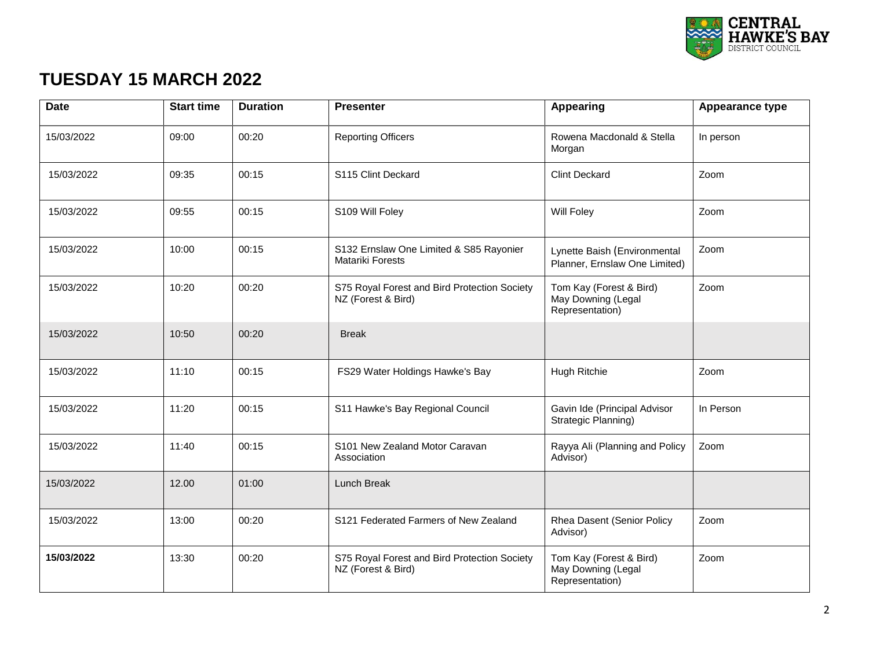

## **TUESDAY 15 MARCH 2022**

| <b>Date</b> | <b>Start time</b> | <b>Duration</b> | <b>Presenter</b>                                                   | Appearing                                                        | <b>Appearance type</b> |
|-------------|-------------------|-----------------|--------------------------------------------------------------------|------------------------------------------------------------------|------------------------|
| 15/03/2022  | 09:00             | 00:20           | <b>Reporting Officers</b>                                          | Rowena Macdonald & Stella<br>Morgan                              | In person              |
| 15/03/2022  | 09:35             | 00:15           | S115 Clint Deckard                                                 | <b>Clint Deckard</b>                                             | Zoom                   |
| 15/03/2022  | 09:55             | 00:15           | S109 Will Foley                                                    | Will Foley                                                       | Zoom                   |
| 15/03/2022  | 10:00             | 00:15           | S132 Ernslaw One Limited & S85 Rayonier<br><b>Matariki Forests</b> | Lynette Baish (Environmental<br>Planner, Ernslaw One Limited)    | Zoom                   |
| 15/03/2022  | 10:20             | 00:20           | S75 Royal Forest and Bird Protection Society<br>NZ (Forest & Bird) | Tom Kay (Forest & Bird)<br>May Downing (Legal<br>Representation) | Zoom                   |
| 15/03/2022  | 10:50             | 00:20           | <b>Break</b>                                                       |                                                                  |                        |
| 15/03/2022  | 11:10             | 00:15           | FS29 Water Holdings Hawke's Bay                                    | Hugh Ritchie                                                     | Zoom                   |
| 15/03/2022  | 11:20             | 00:15           | S11 Hawke's Bay Regional Council                                   | Gavin Ide (Principal Advisor<br>Strategic Planning)              | In Person              |
| 15/03/2022  | 11:40             | 00:15           | S101 New Zealand Motor Caravan<br>Association                      | Rayya Ali (Planning and Policy<br>Advisor)                       | Zoom                   |
| 15/03/2022  | 12.00             | 01:00           | Lunch Break                                                        |                                                                  |                        |
| 15/03/2022  | 13:00             | 00:20           | S121 Federated Farmers of New Zealand                              | Rhea Dasent (Senior Policy<br>Advisor)                           | Zoom                   |
| 15/03/2022  | 13:30             | 00:20           | S75 Royal Forest and Bird Protection Society<br>NZ (Forest & Bird) | Tom Kay (Forest & Bird)<br>May Downing (Legal<br>Representation) | Zoom                   |